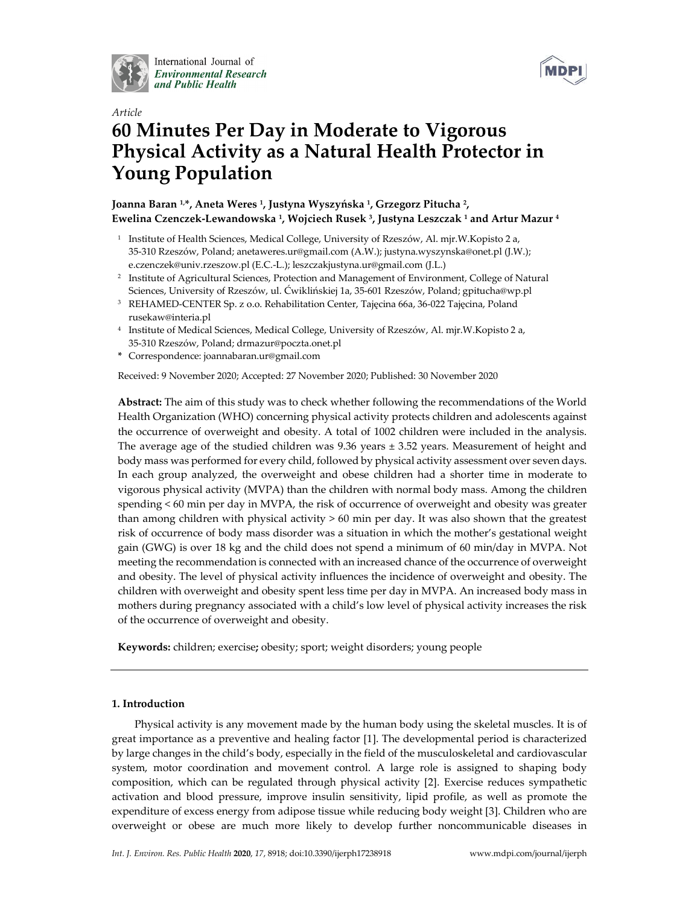

International Journal of **Environmental Research** and Public Health



# *Article* **60 Minutes Per Day in Moderate to Vigorous Physical Activity as a Natural Health Protector in Young Population**

# **Joanna Baran 1,\*, Aneta Weres 1, Justyna Wyszyńska 1, Grzegorz Pitucha 2, Ewelina Czenczek-Lewandowska 1, Wojciech Rusek 3, Justyna Leszczak 1 and Artur Mazur 4**

- <sup>1</sup> Institute of Health Sciences, Medical College, University of Rzeszów, Al. mjr.W.Kopisto 2 a, 35-310 Rzeszów, Poland; anetaweres.ur@gmail.com (A.W.); justyna.wyszynska@onet.pl (J.W.); e.czenczek@univ.rzeszow.pl (E.C.-L.); leszczakjustyna.ur@gmail.com (J.L.)
- <sup>2</sup> Institute of Agricultural Sciences, Protection and Management of Environment, College of Natural Sciences, University of Rzeszów, ul. Ćwiklińskiej 1a, 35-601 Rzeszów, Poland; gpitucha@wp.pl
- <sup>3</sup> REHAMED-CENTER Sp. z o.o. Rehabilitation Center, Tajęcina 66a, 36-022 Tajęcina, Poland rusekaw@interia.pl
- <sup>4</sup> Institute of Medical Sciences, Medical College, University of Rzeszów, Al. mjr.W.Kopisto 2 a, 35-310 Rzeszów, Poland; drmazur@poczta.onet.pl
- **\*** Correspondence: joannabaran.ur@gmail.com

Received: 9 November 2020; Accepted: 27 November 2020; Published: 30 November 2020

**Abstract:** The aim of this study was to check whether following the recommendations of the World Health Organization (WHO) concerning physical activity protects children and adolescents against the occurrence of overweight and obesity. A total of 1002 children were included in the analysis. The average age of the studied children was  $9.36$  years  $\pm 3.52$  years. Measurement of height and body mass was performed for every child, followed by physical activity assessment over seven days. In each group analyzed, the overweight and obese children had a shorter time in moderate to vigorous physical activity (MVPA) than the children with normal body mass. Among the children spending < 60 min per day in MVPA, the risk of occurrence of overweight and obesity was greater than among children with physical activity > 60 min per day. It was also shown that the greatest risk of occurrence of body mass disorder was a situation in which the mother's gestational weight gain (GWG) is over 18 kg and the child does not spend a minimum of 60 min/day in MVPA. Not meeting the recommendation is connected with an increased chance of the occurrence of overweight and obesity. The level of physical activity influences the incidence of overweight and obesity. The children with overweight and obesity spent less time per day in MVPA. An increased body mass in mothers during pregnancy associated with a child's low level of physical activity increases the risk of the occurrence of overweight and obesity.

**Keywords:** children; exercise**;** obesity; sport; weight disorders; young people

# **1. Introduction**

Physical activity is any movement made by the human body using the skeletal muscles. It is of great importance as a preventive and healing factor [1]. The developmental period is characterized by large changes in the child's body, especially in the field of the musculoskeletal and cardiovascular system, motor coordination and movement control. A large role is assigned to shaping body composition, which can be regulated through physical activity [2]. Exercise reduces sympathetic activation and blood pressure, improve insulin sensitivity, lipid profile, as well as promote the expenditure of excess energy from adipose tissue while reducing body weight [3]. Children who are overweight or obese are much more likely to develop further noncommunicable diseases in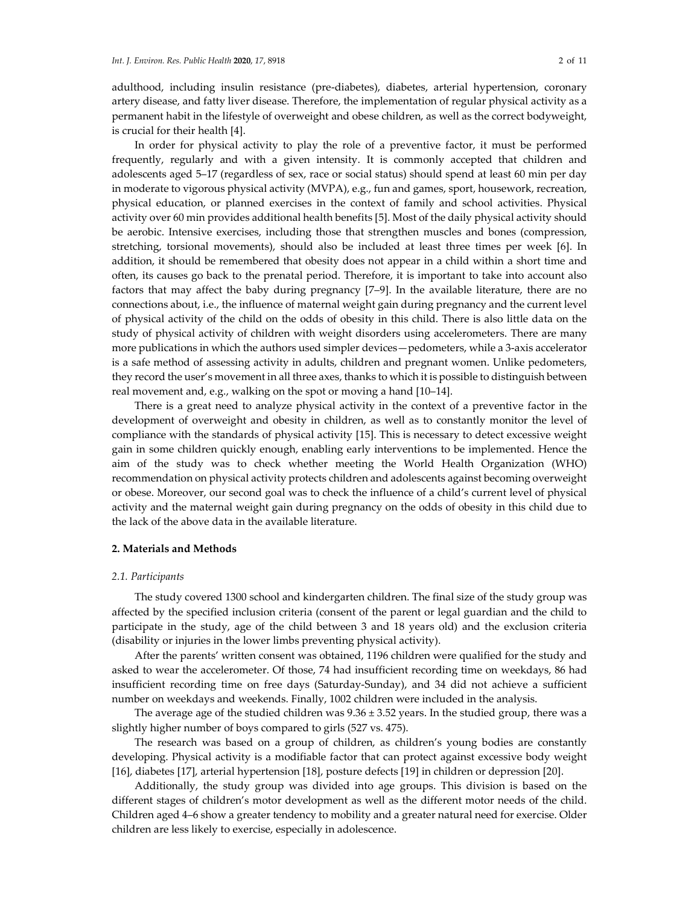adulthood, including insulin resistance (pre-diabetes), diabetes, arterial hypertension, coronary artery disease, and fatty liver disease. Therefore, the implementation of regular physical activity as a permanent habit in the lifestyle of overweight and obese children, as well as the correct bodyweight, is crucial for their health [4].

In order for physical activity to play the role of a preventive factor, it must be performed frequently, regularly and with a given intensity. It is commonly accepted that children and adolescents aged 5–17 (regardless of sex, race or social status) should spend at least 60 min per day in moderate to vigorous physical activity (MVPA), e.g., fun and games, sport, housework, recreation, physical education, or planned exercises in the context of family and school activities. Physical activity over 60 min provides additional health benefits [5]. Most of the daily physical activity should be aerobic. Intensive exercises, including those that strengthen muscles and bones (compression, stretching, torsional movements), should also be included at least three times per week [6]. In addition, it should be remembered that obesity does not appear in a child within a short time and often, its causes go back to the prenatal period. Therefore, it is important to take into account also factors that may affect the baby during pregnancy [7–9]. In the available literature, there are no connections about, i.e., the influence of maternal weight gain during pregnancy and the current level of physical activity of the child on the odds of obesity in this child. There is also little data on the study of physical activity of children with weight disorders using accelerometers. There are many more publications in which the authors used simpler devices—pedometers, while a 3-axis accelerator is a safe method of assessing activity in adults, children and pregnant women. Unlike pedometers, they record the user's movement in all three axes, thanks to which it is possible to distinguish between real movement and, e.g., walking on the spot or moving a hand [10–14].

There is a great need to analyze physical activity in the context of a preventive factor in the development of overweight and obesity in children, as well as to constantly monitor the level of compliance with the standards of physical activity [15]. This is necessary to detect excessive weight gain in some children quickly enough, enabling early interventions to be implemented. Hence the aim of the study was to check whether meeting the World Health Organization (WHO) recommendation on physical activity protects children and adolescents against becoming overweight or obese. Moreover, our second goal was to check the influence of a child's current level of physical activity and the maternal weight gain during pregnancy on the odds of obesity in this child due to the lack of the above data in the available literature.

# **2. Materials and Methods**

## *2.1. Participants*

The study covered 1300 school and kindergarten children. The final size of the study group was affected by the specified inclusion criteria (consent of the parent or legal guardian and the child to participate in the study, age of the child between 3 and 18 years old) and the exclusion criteria (disability or injuries in the lower limbs preventing physical activity).

After the parents' written consent was obtained, 1196 children were qualified for the study and asked to wear the accelerometer. Of those, 74 had insufficient recording time on weekdays, 86 had insufficient recording time on free days (Saturday-Sunday), and 34 did not achieve a sufficient number on weekdays and weekends. Finally, 1002 children were included in the analysis.

The average age of the studied children was  $9.36 \pm 3.52$  years. In the studied group, there was a slightly higher number of boys compared to girls (527 vs. 475).

The research was based on a group of children, as children's young bodies are constantly developing. Physical activity is a modifiable factor that can protect against excessive body weight [16], diabetes [17], arterial hypertension [18], posture defects [19] in children or depression [20].

Additionally, the study group was divided into age groups. This division is based on the different stages of children's motor development as well as the different motor needs of the child. Children aged 4–6 show a greater tendency to mobility and a greater natural need for exercise. Older children are less likely to exercise, especially in adolescence.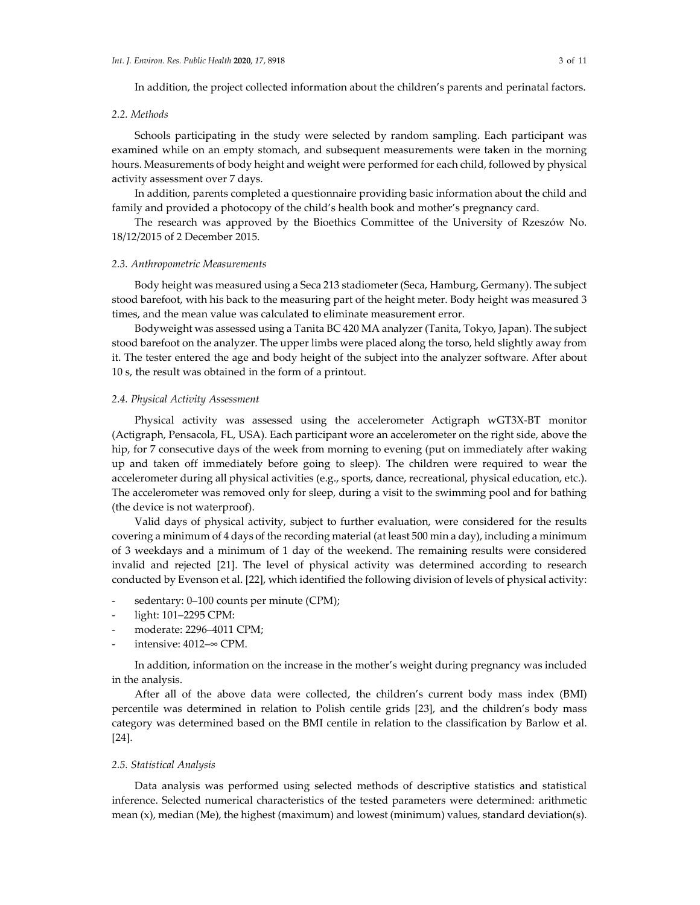In addition, the project collected information about the children's parents and perinatal factors.

## *2.2. Methods*

Schools participating in the study were selected by random sampling. Each participant was examined while on an empty stomach, and subsequent measurements were taken in the morning hours. Measurements of body height and weight were performed for each child, followed by physical activity assessment over 7 days.

In addition, parents completed a questionnaire providing basic information about the child and family and provided a photocopy of the child's health book and mother's pregnancy card.

The research was approved by the Bioethics Committee of the University of Rzeszów No. 18/12/2015 of 2 December 2015.

#### *2.3. Anthropometric Measurements*

Body height was measured using a Seca 213 stadiometer (Seca, Hamburg, Germany). The subject stood barefoot, with his back to the measuring part of the height meter. Body height was measured 3 times, and the mean value was calculated to eliminate measurement error.

Bodyweight was assessed using a Tanita BC 420 MA analyzer (Tanita, Tokyo, Japan). The subject stood barefoot on the analyzer. The upper limbs were placed along the torso, held slightly away from it. The tester entered the age and body height of the subject into the analyzer software. After about 10 s, the result was obtained in the form of a printout.

#### *2.4. Physical Activity Assessment*

Physical activity was assessed using the accelerometer Actigraph wGT3X-BT monitor (Actigraph, Pensacola, FL, USA). Each participant wore an accelerometer on the right side, above the hip, for 7 consecutive days of the week from morning to evening (put on immediately after waking up and taken off immediately before going to sleep). The children were required to wear the accelerometer during all physical activities (e.g., sports, dance, recreational, physical education, etc.). The accelerometer was removed only for sleep, during a visit to the swimming pool and for bathing (the device is not waterproof).

Valid days of physical activity, subject to further evaluation, were considered for the results covering a minimum of 4 days of the recording material (at least 500 min a day), including a minimum of 3 weekdays and a minimum of 1 day of the weekend. The remaining results were considered invalid and rejected [21]. The level of physical activity was determined according to research conducted by Evenson et al. [22], which identified the following division of levels of physical activity:

- sedentary: 0–100 counts per minute (CPM);
- light: 101-2295 CPM:
- moderate: 2296-4011 CPM;
- intensive:  $4012$ –∞ CPM.

In addition, information on the increase in the mother's weight during pregnancy was included in the analysis.

After all of the above data were collected, the children's current body mass index (BMI) percentile was determined in relation to Polish centile grids [23], and the children's body mass category was determined based on the BMI centile in relation to the classification by Barlow et al. [24].

#### *2.5. Statistical Analysis*

Data analysis was performed using selected methods of descriptive statistics and statistical inference. Selected numerical characteristics of the tested parameters were determined: arithmetic mean (x), median (Me), the highest (maximum) and lowest (minimum) values, standard deviation(s).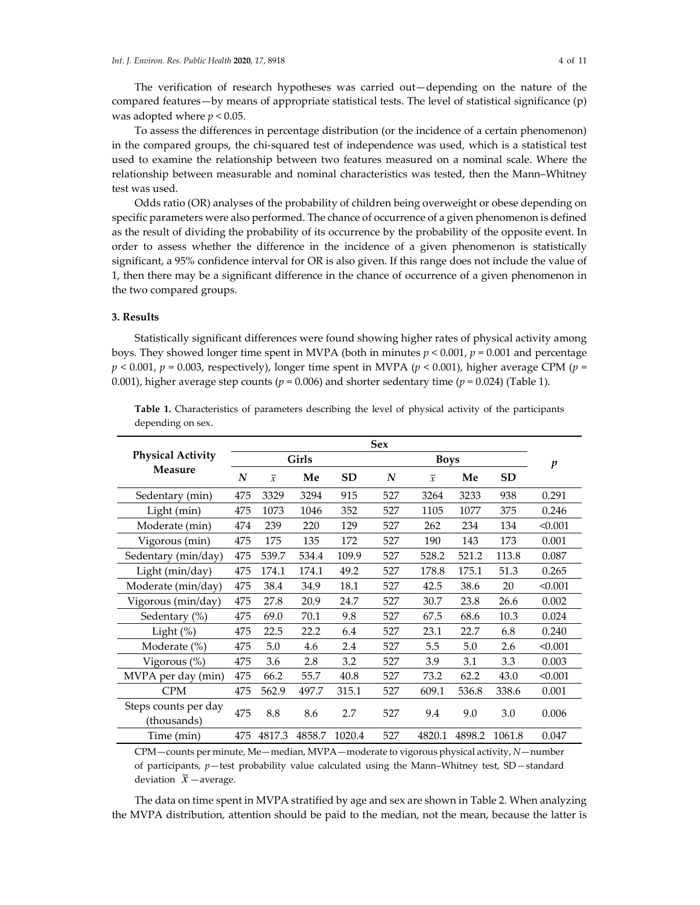The verification of research hypotheses was carried out—depending on the nature of the compared features—by means of appropriate statistical tests. The level of statistical significance (p) was adopted where *p* < 0.05.

To assess the differences in percentage distribution (or the incidence of a certain phenomenon) in the compared groups, the chi-squared test of independence was used, which is a statistical test used to examine the relationship between two features measured on a nominal scale. Where the relationship between measurable and nominal characteristics was tested, then the Mann–Whitney test was used.

Odds ratio (OR) analyses of the probability of children being overweight or obese depending on specific parameters were also performed. The chance of occurrence of a given phenomenon is defined as the result of dividing the probability of its occurrence by the probability of the opposite event. In order to assess whether the difference in the incidence of a given phenomenon is statistically significant, a 95% confidence interval for OR is also given. If this range does not include the value of 1, then there may be a significant difference in the chance of occurrence of a given phenomenon in the two compared groups.

## **3. Results**

Statistically significant differences were found showing higher rates of physical activity among boys. They showed longer time spent in MVPA (both in minutes *p* < 0.001, *p* = 0.001 and percentage  $p < 0.001$ ,  $p = 0.003$ , respectively), longer time spent in MVPA ( $p < 0.001$ ), higher average CPM ( $p =$ 0.001), higher average step counts ( $p = 0.006$ ) and shorter sedentary time ( $p = 0.024$ ) (Table 1).

|                                                                                                    | <b>Sex</b> |                |        |           |             |                |        |           |                  |  |
|----------------------------------------------------------------------------------------------------|------------|----------------|--------|-----------|-------------|----------------|--------|-----------|------------------|--|
| <b>Physical Activity</b><br>Measure                                                                |            |                | Girls  |           | <b>Boys</b> |                |        |           | $\boldsymbol{p}$ |  |
|                                                                                                    | N          | $\overline{x}$ | Me     | <b>SD</b> | N           | $\overline{x}$ | Me     | <b>SD</b> |                  |  |
| Sedentary (min)                                                                                    | 475        | 3329           | 3294   | 915       | 527         | 3264           | 3233   | 938       | 0.291            |  |
| Light (min)                                                                                        | 475        | 1073           | 1046   | 352       | 527         | 1105           | 1077   | 375       | 0.246            |  |
| Moderate (min)                                                                                     | 474        | 239            | 220    | 129       | 527         | 262            | 234    | 134       | < 0.001          |  |
| Vigorous (min)                                                                                     | 475        | 175            | 135    | 172       | 527         | 190            | 143    | 173       | 0.001            |  |
| Sedentary (min/day)                                                                                | 475        | 539.7          | 534.4  | 109.9     | 527         | 528.2          | 521.2  | 113.8     | 0.087            |  |
| Light (min/day)                                                                                    | 475        | 174.1          | 174.1  | 49.2      | 527         | 178.8          | 175.1  | 51.3      | 0.265            |  |
| Moderate (min/day)                                                                                 | 475        | 38.4           | 34.9   | 18.1      | 527         | 42.5           | 38.6   | 20        | < 0.001          |  |
| Vigorous (min/day)                                                                                 | 475        | 27.8           | 20.9   | 24.7      | 527         | 30.7           | 23.8   | 26.6      | 0.002            |  |
| Sedentary (%)                                                                                      | 475        | 69.0           | 70.1   | 9.8       | 527         | 67.5           | 68.6   | 10.3      | 0.024            |  |
| Light $(\%)$                                                                                       | 475        | 22.5           | 22.2   | 6.4       | 527         | 23.1           | 22.7   | 6.8       | 0.240            |  |
| Moderate $(\%)$                                                                                    | 475        | 5.0            | 4.6    | 2.4       | 527         | 5.5            | 5.0    | 2.6       | < 0.001          |  |
| Vigorous (%)                                                                                       | 475        | 3.6            | 2.8    | 3.2       | 527         | 3.9            | 3.1    | 3.3       | 0.003            |  |
| MVPA per day (min)                                                                                 | 475        | 66.2           | 55.7   | 40.8      | 527         | 73.2           | 62.2   | 43.0      | < 0.001          |  |
| <b>CPM</b>                                                                                         | 475        | 562.9          | 497.7  | 315.1     | 527         | 609.1          | 536.8  | 338.6     | 0.001            |  |
| Steps counts per day<br>(thousands)                                                                | 475        | 8.8            | 8.6    | 2.7       | 527         | 9.4            | 9.0    | 3.0       | 0.006            |  |
| Time (min)                                                                                         | 475        | 4817.3         | 4858.7 | 1020.4    | 527         | 4820.1         | 4898.2 | 1061.8    | 0.047            |  |
| $CPM$ -counts per minute, Me - median, MVPA - moderate to vigorous physical activity, $N$ - number |            |                |        |           |             |                |        |           |                  |  |

**Table 1.** Characteristics of parameters describing the level of physical activity of the participants depending on sex.

of participants, *p*—test probability value calculated using the Mann–Whitney test, SD*—*standard deviation  $\bar{x}$  —average.

The data on time spent in MVPA stratified by age and sex are shown in Table 2. When analyzing the MVPA distribution, attention should be paid to the median, not the mean, because the latter is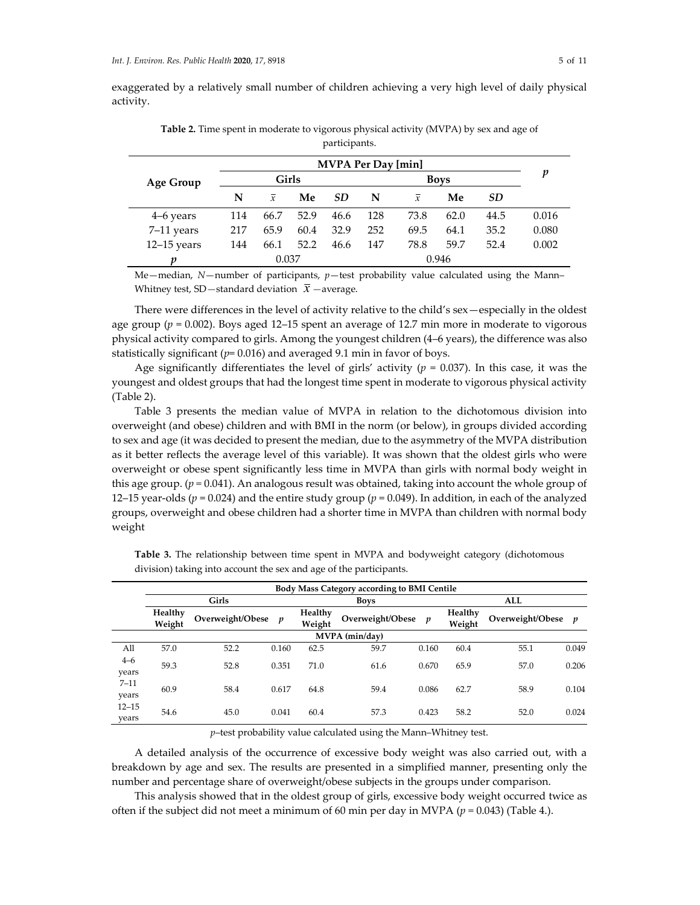exaggerated by a relatively small number of children achieving a very high level of daily physical activity.

|                  |              |                |      |           | <b>MVPA Per Day [min]</b> |                |       |      |       |
|------------------|--------------|----------------|------|-----------|---------------------------|----------------|-------|------|-------|
| <b>Age Group</b> | <b>Girls</b> |                |      |           | <b>Boys</b>               |                |       |      | p     |
|                  | N            | $\overline{x}$ | Me   | <b>SD</b> | N                         | $\overline{x}$ | Me    | SD   |       |
| 4–6 years        | 114          | 66.7           | 52.9 | 46.6      | 128                       | 73.8           | 62.0  | 44.5 | 0.016 |
| 7-11 years       | 217          | 65.9           | 60.4 | 32.9      | 252                       | 69.5           | 64.1  | 35.2 | 0.080 |
| $12-15$ years    | 144          | 66.1           | 52.2 | 46.6      | 147                       | 78.8           | 59.7  | 52.4 | 0.002 |
| v                | 0.037        |                |      |           |                           |                | 0.946 |      |       |

**Table 2.** Time spent in moderate to vigorous physical activity (MVPA) by sex and age of participants.

Me—median, *N*—number of participants, *p*—test probability value calculated using the Mann– Whitney test, SD — standard deviation  $\bar{x}$  — average.

There were differences in the level of activity relative to the child's sex—especially in the oldest age group (*p* = 0.002). Boys aged 12–15 spent an average of 12.7 min more in moderate to vigorous physical activity compared to girls. Among the youngest children (4–6 years), the difference was also statistically significant (*p*= 0.016) and averaged 9.1 min in favor of boys.

Age significantly differentiates the level of girls' activity ( $p = 0.037$ ). In this case, it was the youngest and oldest groups that had the longest time spent in moderate to vigorous physical activity (Table 2).

Table 3 presents the median value of MVPA in relation to the dichotomous division into overweight (and obese) children and with BMI in the norm (or below), in groups divided according to sex and age (it was decided to present the median, due to the asymmetry of the MVPA distribution as it better reflects the average level of this variable). It was shown that the oldest girls who were overweight or obese spent significantly less time in MVPA than girls with normal body weight in this age group. (*p =* 0.041). An analogous result was obtained, taking into account the whole group of 12–15 year-olds (*p* = 0.024) and the entire study group (*p* = 0.049). In addition, in each of the analyzed groups, overweight and obese children had a shorter time in MVPA than children with normal body weight

|                    |                   |                  |                  |                   | Body Mass Category according to BMI Centile |       |                   |                  |                  |  |
|--------------------|-------------------|------------------|------------------|-------------------|---------------------------------------------|-------|-------------------|------------------|------------------|--|
|                    |                   | Girls            |                  | <b>Boys</b>       | ALL                                         |       |                   |                  |                  |  |
|                    | Healthy<br>Weight | Overweight/Obese | $\boldsymbol{p}$ | Healthy<br>Weight | Overweight/Obese                            | p     | Healthy<br>Weight | Overweight/Obese | $\boldsymbol{v}$ |  |
| MVPA (min/day)     |                   |                  |                  |                   |                                             |       |                   |                  |                  |  |
| All                | 57.0              | 52.2             | 0.160            | 62.5              | 59.7                                        | 0.160 | 60.4              | 55.1             | 0.049            |  |
| $4 - 6$<br>years   | 59.3              | 52.8             | 0.351            | 71.0              | 61.6                                        | 0.670 | 65.9              | 57.0             | 0.206            |  |
| $7 - 11$<br>years  | 60.9              | 58.4             | 0.617            | 64.8              | 59.4                                        | 0.086 | 62.7              | 58.9             | 0.104            |  |
| $12 - 15$<br>years | 54.6              | 45.0             | 0.041            | 60.4              | 57.3                                        | 0.423 | 58.2              | 52.0             | 0.024            |  |

**Table 3.** The relationship between time spent in MVPA and bodyweight category (dichotomous division) taking into account the sex and age of the participants.

*p*–test probability value calculated using the Mann–Whitney test.

A detailed analysis of the occurrence of excessive body weight was also carried out, with a breakdown by age and sex. The results are presented in a simplified manner, presenting only the number and percentage share of overweight/obese subjects in the groups under comparison.

This analysis showed that in the oldest group of girls, excessive body weight occurred twice as often if the subject did not meet a minimum of 60 min per day in MVPA (*p =* 0.043) (Table 4.).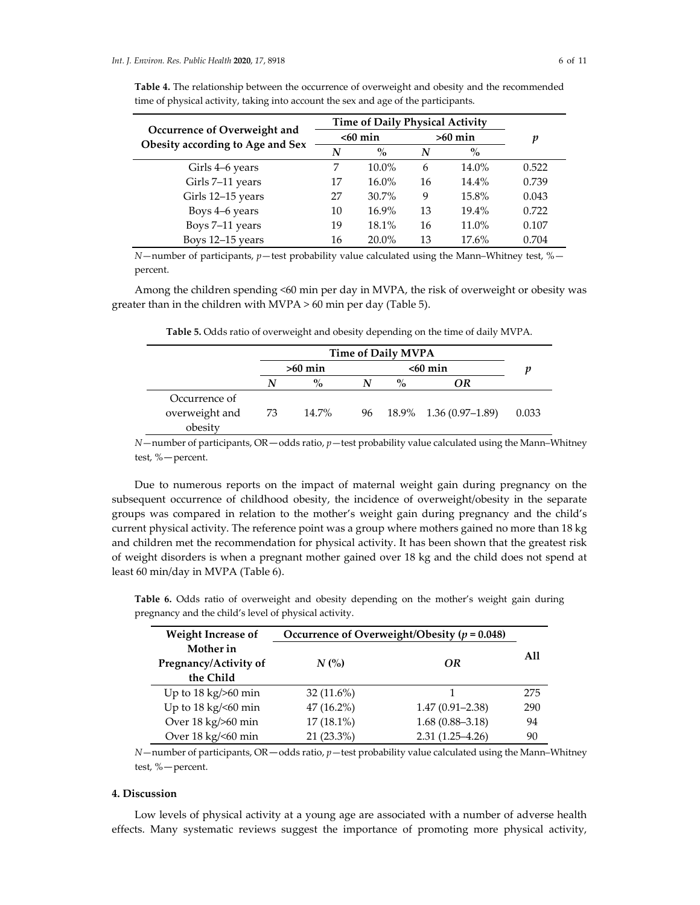|                                  | <b>Time of Daily Physical Activity</b> |            |    |           |       |
|----------------------------------|----------------------------------------|------------|----|-----------|-------|
| Occurrence of Overweight and     |                                        | $< 60$ min |    | $>60$ min | p     |
| Obesity according to Age and Sex | N                                      | $\%$       | N  | $\%$      |       |
| Girls 4–6 years                  |                                        | 10.0%      | 6  | 14.0%     | 0.522 |
| Girls 7-11 years                 | 17                                     | 16.0%      | 16 | 14.4%     | 0.739 |
| Girls 12-15 years                | 27                                     | 30.7%      | 9  | 15.8%     | 0.043 |
| Boys 4-6 years                   | 10                                     | 16.9%      | 13 | 19.4%     | 0.722 |
| Boys 7-11 years                  | 19                                     | 18.1%      | 16 | 11.0%     | 0.107 |
| Boys 12-15 years                 | 16                                     | 20.0%      | 13 | 17.6%     | 0.704 |

**Table 4.** The relationship between the occurrence of overweight and obesity and the recommended time of physical activity, taking into account the sex and age of the participants.

*N*—number of participants, *p*—test probability value calculated using the Mann–Whitney test, % percent.

Among the children spending <60 min per day in MVPA, the risk of overweight or obesity was greater than in the children with MVPA > 60 min per day (Table 5).

|  |  |  |  |  | Table 5. Odds ratio of overweight and obesity depending on the time of daily MVPA. |  |  |  |  |  |  |
|--|--|--|--|--|------------------------------------------------------------------------------------|--|--|--|--|--|--|
|--|--|--|--|--|------------------------------------------------------------------------------------|--|--|--|--|--|--|

|                           |      | <b>Time of Daily MVPA</b> |  |      |                           |       |  |  |  |
|---------------------------|------|---------------------------|--|------|---------------------------|-------|--|--|--|
|                           |      | $>60$ min                 |  |      |                           |       |  |  |  |
|                           | N    | $\frac{6}{10}$            |  | $\%$ | ΩR                        |       |  |  |  |
| Occurrence of             |      |                           |  |      |                           |       |  |  |  |
| overweight and<br>obesity | - 73 | 14.7%                     |  |      | 96 18.9% 1.36 (0.97–1.89) | 0.033 |  |  |  |

*N*—number of participants, OR—odds ratio, *p*—test probability value calculated using the Mann–Whitney test, %—percent.

Due to numerous reports on the impact of maternal weight gain during pregnancy on the subsequent occurrence of childhood obesity, the incidence of overweight/obesity in the separate groups was compared in relation to the mother's weight gain during pregnancy and the child's current physical activity. The reference point was a group where mothers gained no more than 18 kg and children met the recommendation for physical activity. It has been shown that the greatest risk of weight disorders is when a pregnant mother gained over 18 kg and the child does not spend at least 60 min/day in MVPA (Table 6).

| Weight Increase of    | Occurrence of Overweight/Obesity ( $p = 0.048$ ) |    |     |  |  |
|-----------------------|--------------------------------------------------|----|-----|--|--|
| Mother in             |                                                  |    | All |  |  |
| Pregnancy/Activity of | $N$ (%)                                          | ΟR |     |  |  |

Up to  $18 \text{ kg} / 50 \text{ min}$  32 (11.6%) 1 275 Up to 18 kg/<60 min 47 (16.2%) 1.47 (0.91–2.38) 290 Over 18 kg/>60 min 17 (18.1%) 1.68 (0.88–3.18) 94 Over 18 kg/<60 min 21 (23.3%) 2.31 (1.25–4.26) 90

**Table 6.** Odds ratio of overweight and obesity depending on the mother's weight gain during pregnancy and the child's level of physical activity.

| $N$ —number of participants, OR—odds ratio, $p$ —test probability value calculated using the Mann–Whitney |  |
|-----------------------------------------------------------------------------------------------------------|--|
| test, %—percent.                                                                                          |  |

### **4. Discussion**

**the Child**

Low levels of physical activity at a young age are associated with a number of adverse health effects. Many systematic reviews suggest the importance of promoting more physical activity,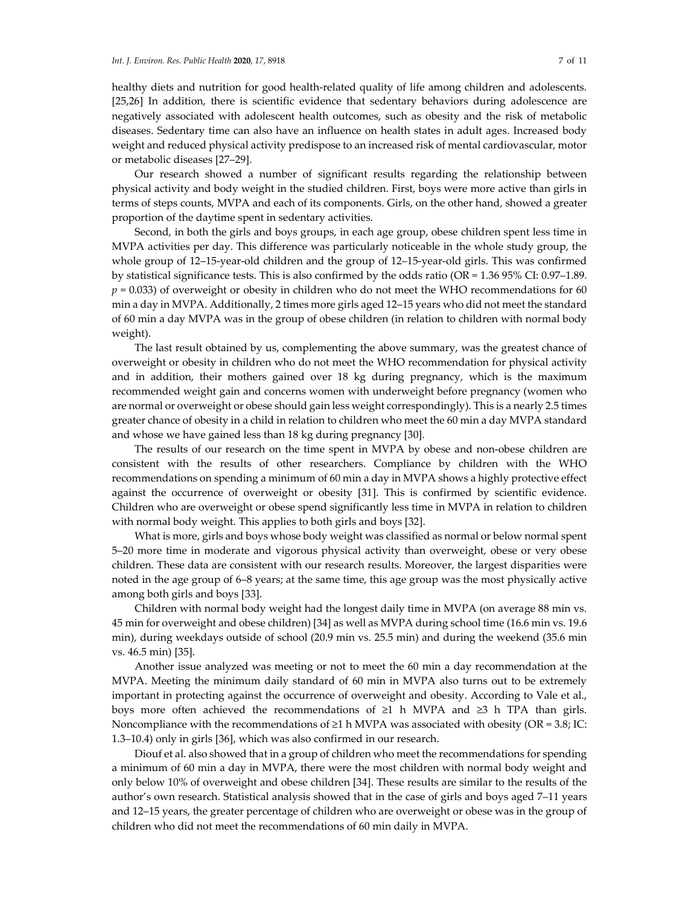or metabolic diseases [27–29].

healthy diets and nutrition for good health-related quality of life among children and adolescents. [25,26] In addition, there is scientific evidence that sedentary behaviors during adolescence are negatively associated with adolescent health outcomes, such as obesity and the risk of metabolic diseases. Sedentary time can also have an influence on health states in adult ages. Increased body

Our research showed a number of significant results regarding the relationship between physical activity and body weight in the studied children. First, boys were more active than girls in terms of steps counts, MVPA and each of its components. Girls, on the other hand, showed a greater proportion of the daytime spent in sedentary activities.

weight and reduced physical activity predispose to an increased risk of mental cardiovascular, motor

Second, in both the girls and boys groups, in each age group, obese children spent less time in MVPA activities per day. This difference was particularly noticeable in the whole study group, the whole group of 12–15-year-old children and the group of 12–15-year-old girls. This was confirmed by statistical significance tests. This is also confirmed by the odds ratio (OR = 1.36 95% CI: 0.97–1.89.  $p = 0.033$ ) of overweight or obesity in children who do not meet the WHO recommendations for 60 min a day in MVPA. Additionally, 2 times more girls aged 12–15 years who did not meet the standard of 60 min a day MVPA was in the group of obese children (in relation to children with normal body weight).

The last result obtained by us, complementing the above summary, was the greatest chance of overweight or obesity in children who do not meet the WHO recommendation for physical activity and in addition, their mothers gained over 18 kg during pregnancy, which is the maximum recommended weight gain and concerns women with underweight before pregnancy (women who are normal or overweight or obese should gain less weight correspondingly). This is a nearly 2.5 times greater chance of obesity in a child in relation to children who meet the 60 min a day MVPA standard and whose we have gained less than 18 kg during pregnancy [30].

The results of our research on the time spent in MVPA by obese and non-obese children are consistent with the results of other researchers. Compliance by children with the WHO recommendations on spending a minimum of 60 min a day in MVPA shows a highly protective effect against the occurrence of overweight or obesity [31]. This is confirmed by scientific evidence. Children who are overweight or obese spend significantly less time in MVPA in relation to children with normal body weight. This applies to both girls and boys [32].

What is more, girls and boys whose body weight was classified as normal or below normal spent 5–20 more time in moderate and vigorous physical activity than overweight, obese or very obese children. These data are consistent with our research results. Moreover, the largest disparities were noted in the age group of 6–8 years; at the same time, this age group was the most physically active among both girls and boys [33].

Children with normal body weight had the longest daily time in MVPA (on average 88 min vs. 45 min for overweight and obese children) [34] as well as MVPA during school time (16.6 min vs. 19.6 min), during weekdays outside of school (20.9 min vs. 25.5 min) and during the weekend (35.6 min vs. 46.5 min) [35].

Another issue analyzed was meeting or not to meet the 60 min a day recommendation at the MVPA. Meeting the minimum daily standard of 60 min in MVPA also turns out to be extremely important in protecting against the occurrence of overweight and obesity. According to Vale et al., boys more often achieved the recommendations of ≥1 h MVPA and ≥3 h TPA than girls. Noncompliance with the recommendations of  $\geq 1$  h MVPA was associated with obesity (OR = 3.8; IC: 1.3–10.4) only in girls [36], which was also confirmed in our research.

Diouf et al. also showed that in a group of children who meet the recommendations for spending a minimum of 60 min a day in MVPA, there were the most children with normal body weight and only below 10% of overweight and obese children [34]. These results are similar to the results of the author's own research. Statistical analysis showed that in the case of girls and boys aged 7–11 years and 12–15 years, the greater percentage of children who are overweight or obese was in the group of children who did not meet the recommendations of 60 min daily in MVPA.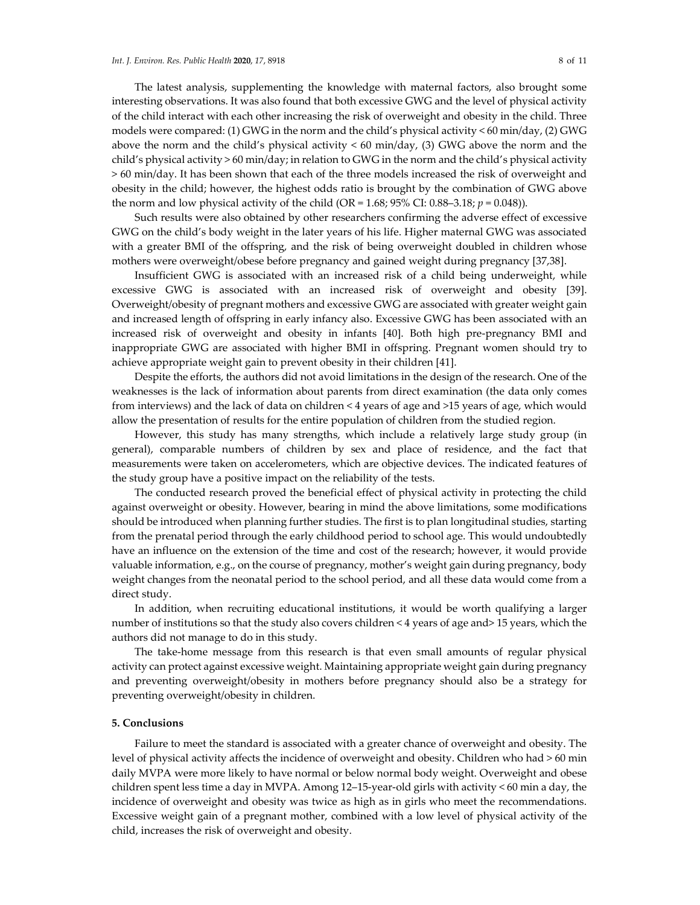The latest analysis, supplementing the knowledge with maternal factors, also brought some interesting observations. It was also found that both excessive GWG and the level of physical activity of the child interact with each other increasing the risk of overweight and obesity in the child. Three models were compared: (1) GWG in the norm and the child's physical activity < 60 min/day, (2) GWG above the norm and the child's physical activity < 60 min/day, (3) GWG above the norm and the child's physical activity > 60 min/day; in relation to GWG in the norm and the child's physical activity > 60 min/day. It has been shown that each of the three models increased the risk of overweight and obesity in the child; however, the highest odds ratio is brought by the combination of GWG above the norm and low physical activity of the child (OR =  $1.68$ ;  $95\%$  CI: 0.88–3.18;  $p = 0.048$ )).

Such results were also obtained by other researchers confirming the adverse effect of excessive GWG on the child's body weight in the later years of his life. Higher maternal GWG was associated with a greater BMI of the offspring, and the risk of being overweight doubled in children whose mothers were overweight/obese before pregnancy and gained weight during pregnancy [37,38].

Insufficient GWG is associated with an increased risk of a child being underweight, while excessive GWG is associated with an increased risk of overweight and obesity [39]. Overweight/obesity of pregnant mothers and excessive GWG are associated with greater weight gain and increased length of offspring in early infancy also. Excessive GWG has been associated with an increased risk of overweight and obesity in infants [40]. Both high pre-pregnancy BMI and inappropriate GWG are associated with higher BMI in offspring. Pregnant women should try to achieve appropriate weight gain to prevent obesity in their children [41].

Despite the efforts, the authors did not avoid limitations in the design of the research. One of the weaknesses is the lack of information about parents from direct examination (the data only comes from interviews) and the lack of data on children < 4 years of age and >15 years of age, which would allow the presentation of results for the entire population of children from the studied region.

However, this study has many strengths, which include a relatively large study group (in general), comparable numbers of children by sex and place of residence, and the fact that measurements were taken on accelerometers, which are objective devices. The indicated features of the study group have a positive impact on the reliability of the tests.

The conducted research proved the beneficial effect of physical activity in protecting the child against overweight or obesity. However, bearing in mind the above limitations, some modifications should be introduced when planning further studies. The first is to plan longitudinal studies, starting from the prenatal period through the early childhood period to school age. This would undoubtedly have an influence on the extension of the time and cost of the research; however, it would provide valuable information, e.g., on the course of pregnancy, mother's weight gain during pregnancy, body weight changes from the neonatal period to the school period, and all these data would come from a direct study.

In addition, when recruiting educational institutions, it would be worth qualifying a larger number of institutions so that the study also covers children < 4 years of age and> 15 years, which the authors did not manage to do in this study.

The take-home message from this research is that even small amounts of regular physical activity can protect against excessive weight. Maintaining appropriate weight gain during pregnancy and preventing overweight/obesity in mothers before pregnancy should also be a strategy for preventing overweight/obesity in children.

#### **5. Conclusions**

Failure to meet the standard is associated with a greater chance of overweight and obesity. The level of physical activity affects the incidence of overweight and obesity. Children who had > 60 min daily MVPA were more likely to have normal or below normal body weight. Overweight and obese children spent less time a day in MVPA. Among 12–15-year-old girls with activity < 60 min a day, the incidence of overweight and obesity was twice as high as in girls who meet the recommendations. Excessive weight gain of a pregnant mother, combined with a low level of physical activity of the child, increases the risk of overweight and obesity.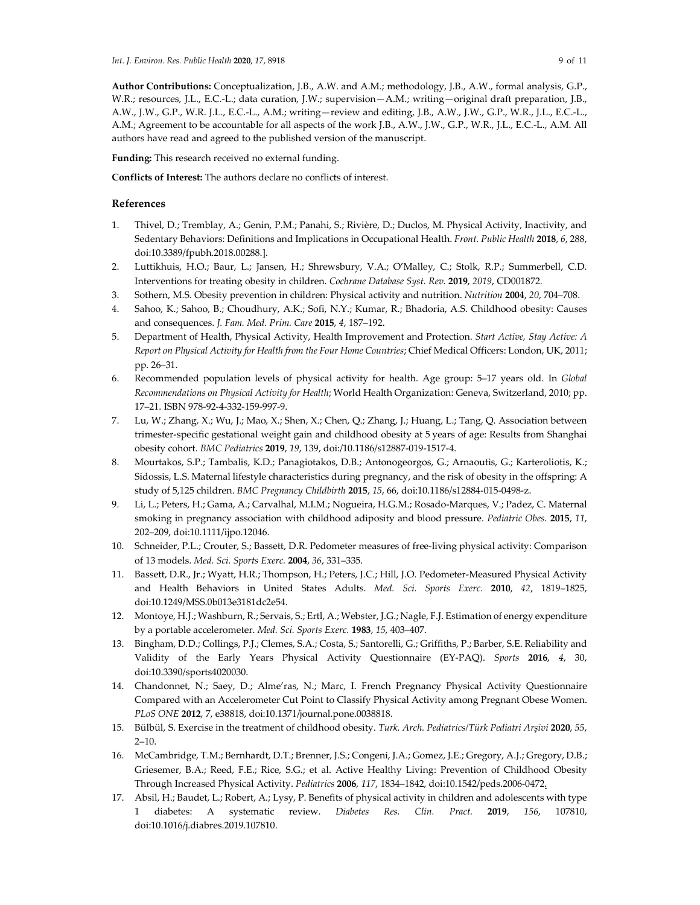**Author Contributions:** Conceptualization, J.B., A.W. and A.M.; methodology, J.B., A.W., formal analysis, G.P., W.R.; resources, J.L., E.C.-L.; data curation, J.W.; supervision—A.M.; writing—original draft preparation, J.B., A.W., J.W., G.P., W.R. J.L., E.C.-L., A.M.; writing—review and editing, J.B., A.W., J.W., G.P., W.R., J.L., E.C.-L., A.M.; Agreement to be accountable for all aspects of the work J.B., A.W., J.W., G.P., W.R., J.L., E.C.-L., A.M. All authors have read and agreed to the published version of the manuscript.

**Funding:** This research received no external funding.

**Conflicts of Interest:** The authors declare no conflicts of interest.

## **References**

- 1. Thivel, D.; Tremblay, A.; Genin, P.M.; Panahi, S.; Rivière, D.; Duclos, M. Physical Activity, Inactivity, and Sedentary Behaviors: Definitions and Implications in Occupational Health. *Front. Public Health* **2018**, *6*, 288, doi:10.3389/fpubh.2018.00288.].
- 2. Luttikhuis, H.O.; Baur, L.; Jansen, H.; Shrewsbury, V.A.; O'Malley, C.; Stolk, R.P.; Summerbell, C.D. Interventions for treating obesity in children. *Cochrane Database Syst. Rev.* **2019**, *2019*, CD001872.
- 3. Sothern, M.S. Obesity prevention in children: Physical activity and nutrition. *Nutrition* **2004**, *20*, 704–708.
- 4. Sahoo, K.; Sahoo, B.; Choudhury, A.K.; Sofi, N.Y.; Kumar, R.; Bhadoria, A.S. Childhood obesity: Causes and consequences. *J. Fam. Med. Prim. Care* **2015**, *4*, 187–192.
- 5. Department of Health, Physical Activity, Health Improvement and Protection. *Start Active, Stay Active: A Report on Physical Activity for Health from the Four Home Countries*; Chief Medical Officers: London, UK, 2011; pp. 26–31.
- 6. Recommended population levels of physical activity for health. Age group: 5–17 years old. In *Global Recommendations on Physical Activity for Health*; World Health Organization: Geneva, Switzerland, 2010; pp. 17–21. ISBN 978-92-4-332-159-997-9.
- 7. Lu, W.; Zhang, X.; Wu, J.; Mao, X.; Shen, X.; Chen, Q.; Zhang, J.; Huang, L.; Tang, Q. Association between trimester-specific gestational weight gain and childhood obesity at 5 years of age: Results from Shanghai obesity cohort. *BMC Pediatrics* **2019**, *19*, 139, doi:/10.1186/s12887-019-1517-4.
- 8. Mourtakos, S.P.; Tambalis, K.D.; Panagiotakos, D.B.; Antonogeorgos, G.; Arnaoutis, G.; Karteroliotis, K.; Sidossis, L.S. Maternal lifestyle characteristics during pregnancy, and the risk of obesity in the offspring: A study of 5,125 children. *BMC Pregnancy Childbirth* **2015**, *15*, 66, doi:10.1186/s12884-015-0498-z.
- 9. Li, L.; Peters, H.; Gama, A.; Carvalhal, M.I.M.; Nogueira, H.G.M.; Rosado-Marques, V.; Padez, C. Maternal smoking in pregnancy association with childhood adiposity and blood pressure. *Pediatric Obes*. **2015**, *11*, 202–209, doi:10.1111/ijpo.12046.
- 10. Schneider, P.L.; Crouter, S.; Bassett, D.R. Pedometer measures of free-living physical activity: Comparison of 13 models. *Med. Sci. Sports Exerc.* **2004**, *36*, 331–335.
- 11. Bassett, D.R., Jr.; Wyatt, H.R.; Thompson, H.; Peters, J.C.; Hill, J.O. Pedometer-Measured Physical Activity and Health Behaviors in United States Adults. *Med. Sci. Sports Exerc.* **2010**, *42*, 1819–1825, doi:10.1249/MSS.0b013e3181dc2e54.
- 12. Montoye, H.J.; Washburn, R.; Servais, S.; Ertl, A.; Webster, J.G.; Nagle, F.J. Estimation of energy expenditure by a portable accelerometer. *Med. Sci. Sports Exerc.* **1983**, *15*, 403–407.
- 13. Bingham, D.D.; Collings, P.J.; Clemes, S.A.; Costa, S.; Santorelli, G.; Griffiths, P.; Barber, S.E. Reliability and Validity of the Early Years Physical Activity Questionnaire (EY-PAQ). *Sports* **2016**, *4*, 30, doi:10.3390/sports4020030.
- 14. Chandonnet, N.; Saey, D.; Alme'ras, N.; Marc, I. French Pregnancy Physical Activity Questionnaire Compared with an Accelerometer Cut Point to Classify Physical Activity among Pregnant Obese Women. *PLoS ONE* **2012**, 7, e38818, doi:10.1371/journal.pone.0038818.
- 15. Bülbül, S. Exercise in the treatment of childhood obesity. *Turk. Arch. Pediatrics/Türk Pediatri Arşivi* **2020**, *55*, 2–10.
- 16. McCambridge, T.M.; Bernhardt, D.T.; Brenner, J.S.; Congeni, J.A.; Gomez, J.E.; Gregory, A.J.; Gregory, D.B.; Griesemer, B.A.; Reed, F.E.; Rice, S.G.; et al. Active Healthy Living: Prevention of Childhood Obesity Through Increased Physical Activity. *Pediatrics* **2006**, *117*, 1834–1842, doi:10.1542/peds.2006-0472.
- 17. Absil, H.; Baudet, L.; Robert, A.; Lysy, P. Benefits of physical activity in children and adolescents with type 1 diabetes: A systematic review. *Diabetes Res. Clin. Pract.* **2019**, *156*, 107810, doi:10.1016/j.diabres.2019.107810.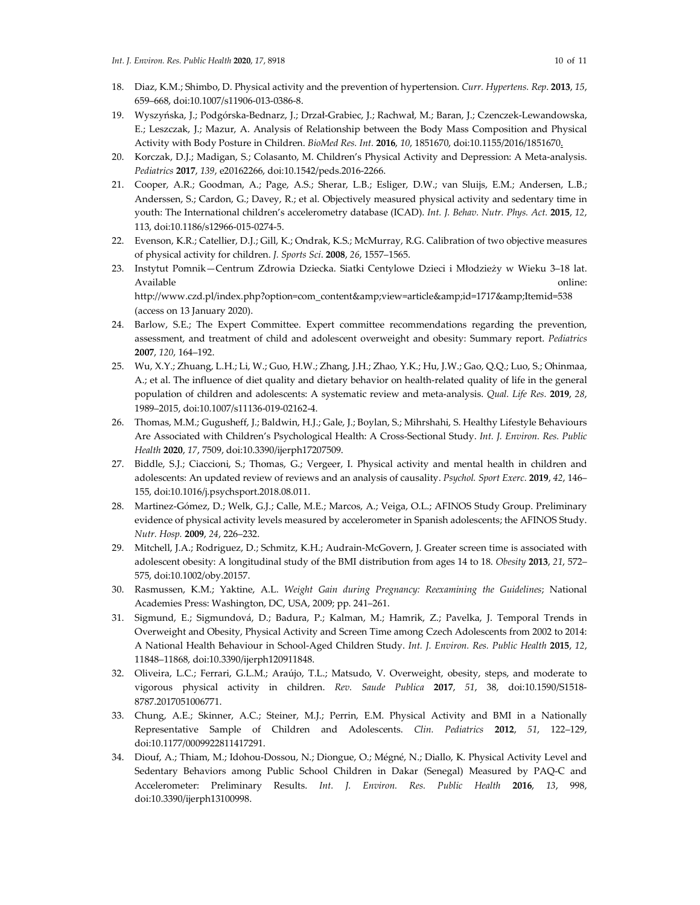(access on 13 January 2020).

- 18. Diaz, K.M.; Shimbo, D. Physical activity and the prevention of hypertension. *Curr. Hypertens. Rep*. **2013**, *15*, 659–668, doi:10.1007/s11906-013-0386-8.
- 19. Wyszyńska, J.; Podgórska-Bednarz, J.; Drzał-Grabiec, J.; Rachwał, M.; Baran, J.; Czenczek-Lewandowska, E.; Leszczak, J.; Mazur, A. Analysis of Relationship between the Body Mass Composition and Physical Activity with Body Posture in Children. *BioMed Res. Int.* **2016**, *10*, 1851670, doi:10.1155/2016/1851670.
- 20. Korczak, D.J.; Madigan, S.; Colasanto, M. Children's Physical Activity and Depression: A Meta-analysis. *Pediatrics* **2017**, *139*, e20162266, doi:10.1542/peds.2016-2266.
- 21. Cooper, A.R.; Goodman, A.; Page, A.S.; Sherar, L.B.; Esliger, D.W.; van Sluijs, E.M.; Andersen, L.B.; Anderssen, S.; Cardon, G.; Davey, R.; et al. Objectively measured physical activity and sedentary time in youth: The International children's accelerometry database (ICAD). *Int. J. Behav. Nutr. Phys. Act.* **2015**, *12*, 113, doi:10.1186/s12966-015-0274-5.
- 22. Evenson, K.R.; Catellier, D.J.; Gill, K.; Ondrak, K.S.; McMurray, R.G. Calibration of two objective measures of physical activity for children. *J. Sports Sci*. **2008**, *26*, 1557–1565.
- 23. Instytut Pomnik—Centrum Zdrowia Dziecka. Siatki Centylowe Dzieci i Młodzieży w Wieku 3–18 lat. Available online: http://www.czd.pl/index.php?option=com\_content&view=article&id=1717&Itemid=538
- 24. Barlow, S.E.; The Expert Committee. Expert committee recommendations regarding the prevention, assessment, and treatment of child and adolescent overweight and obesity: Summary report. *Pediatrics* **2007**, *120*, 164–192.
- 25. Wu, X.Y.; Zhuang, L.H.; Li, W.; Guo, H.W.; Zhang, J.H.; Zhao, Y.K.; Hu, J.W.; Gao, Q.Q.; Luo, S.; Ohinmaa, A.; et al. The influence of diet quality and dietary behavior on health-related quality of life in the general population of children and adolescents: A systematic review and meta-analysis. *Qual. Life Res.* **2019**, *28*, 1989–2015, doi:10.1007/s11136-019-02162-4.
- 26. Thomas, M.M.; Gugusheff, J.; Baldwin, H.J.; Gale, J.; Boylan, S.; Mihrshahi, S. Healthy Lifestyle Behaviours Are Associated with Children's Psychological Health: A Cross-Sectional Study. *Int. J. Environ. Res. Public Health* **2020**, *17*, 7509, doi:10.3390/ijerph17207509.
- 27. Biddle, S.J.; Ciaccioni, S.; Thomas, G.; Vergeer, I. Physical activity and mental health in children and adolescents: An updated review of reviews and an analysis of causality. *Psychol. Sport Exerc.* **2019**, *42*, 146– 155, doi:10.1016/j.psychsport.2018.08.011.
- 28. Martinez-Gómez, D.; Welk, G.J.; Calle, M.E.; Marcos, A.; Veiga, O.L.; AFINOS Study Group. Preliminary evidence of physical activity levels measured by accelerometer in Spanish adolescents; the AFINOS Study. *Nutr. Hosp.* **2009**, *24*, 226–232.
- 29. Mitchell, J.A.; Rodriguez, D.; Schmitz, K.H.; Audrain-McGovern, J. Greater screen time is associated with adolescent obesity: A longitudinal study of the BMI distribution from ages 14 to 18. *Obesity* **2013**, *21*, 572– 575, doi:10.1002/oby.20157.
- 30. Rasmussen, K.M.; Yaktine, A.L. *Weight Gain during Pregnancy: Reexamining the Guidelines*; National Academies Press: Washington, DC, USA, 2009; pp. 241–261.
- 31. Sigmund, E.; Sigmundová, D.; Badura, P.; Kalman, M.; Hamrik, Z.; Pavelka, J. Temporal Trends in Overweight and Obesity, Physical Activity and Screen Time among Czech Adolescents from 2002 to 2014: A National Health Behaviour in School-Aged Children Study. *Int. J. Environ. Res. Public Health* **2015**, *12*, 11848–11868, doi:10.3390/ijerph120911848.
- 32. Oliveira, L.C.; Ferrari, G.L.M.; Araújo, T.L.; Matsudo, V. Overweight, obesity, steps, and moderate to vigorous physical activity in children. *Rev. Saude Publica* **2017**, *51*, 38, doi:10.1590/S1518- 8787.2017051006771.
- 33. Chung, A.E.; Skinner, A.C.; Steiner, M.J.; Perrin, E.M. Physical Activity and BMI in a Nationally Representative Sample of Children and Adolescents. *Clin. Pediatrics* **2012**, *51*, 122–129, doi:10.1177/0009922811417291.
- 34. Diouf, A.; Thiam, M.; Idohou-Dossou, N.; Diongue, O.; Mégné, N.; Diallo, K. Physical Activity Level and Sedentary Behaviors among Public School Children in Dakar (Senegal) Measured by PAQ-C and Accelerometer: Preliminary Results. *Int. J. Environ. Res. Public Health* **2016**, *13*, 998, doi:10.3390/ijerph13100998.